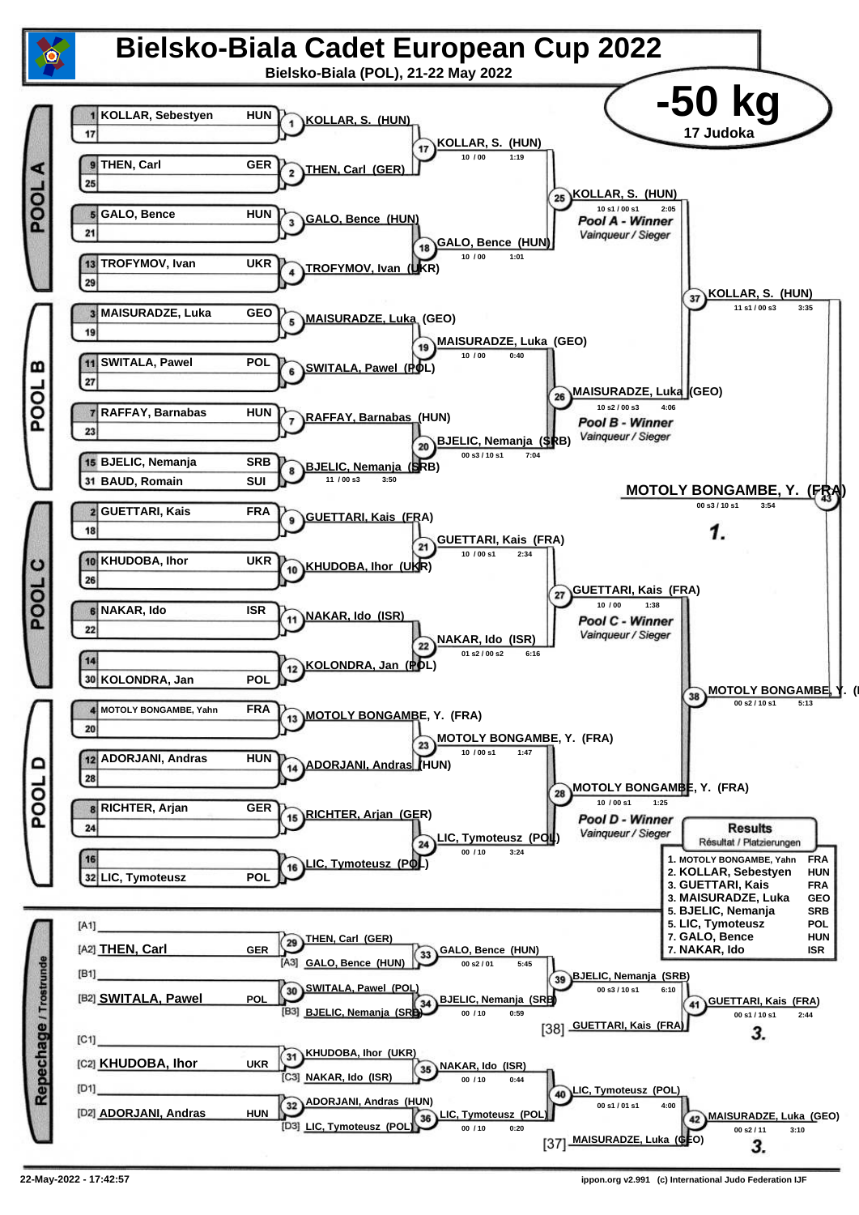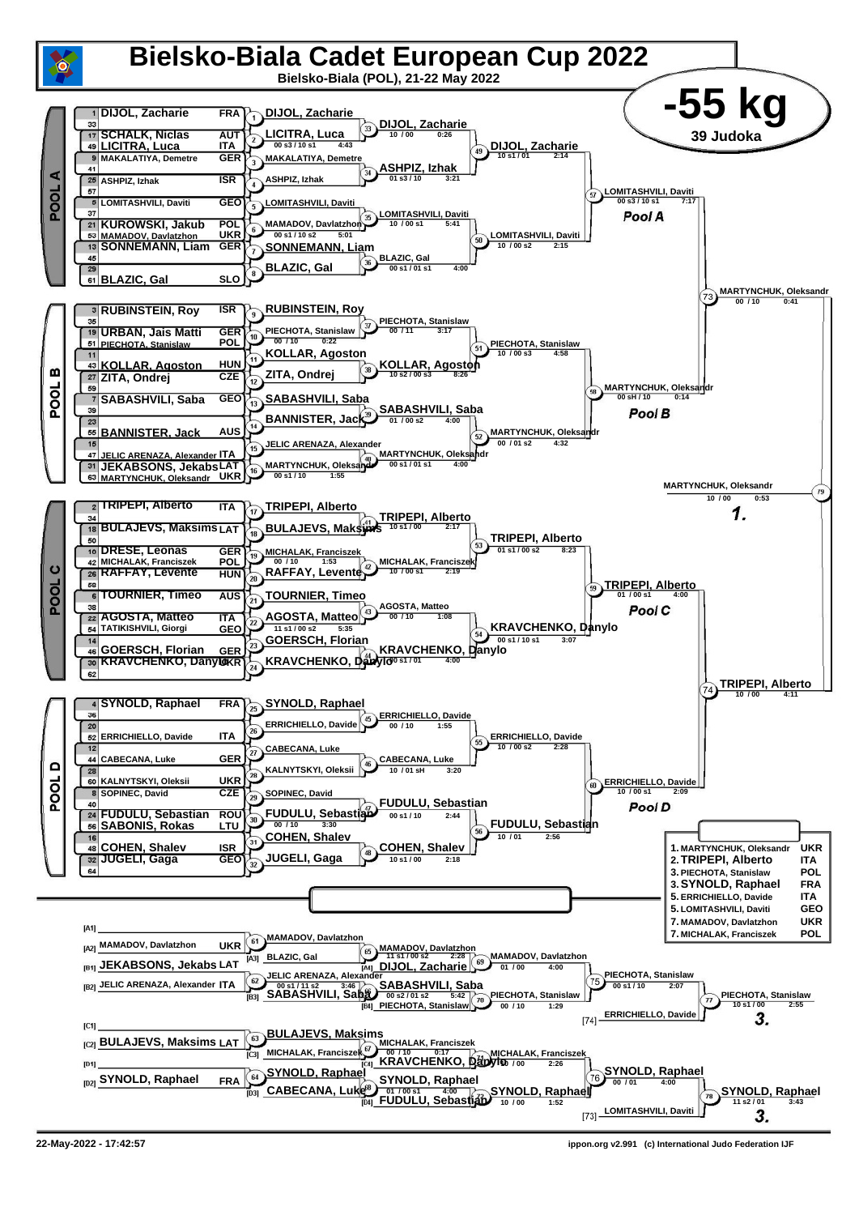

**<sup>22-</sup>May-2022 - 17:42:57 ippon.org v2.991 (c) International Judo Federation IJF**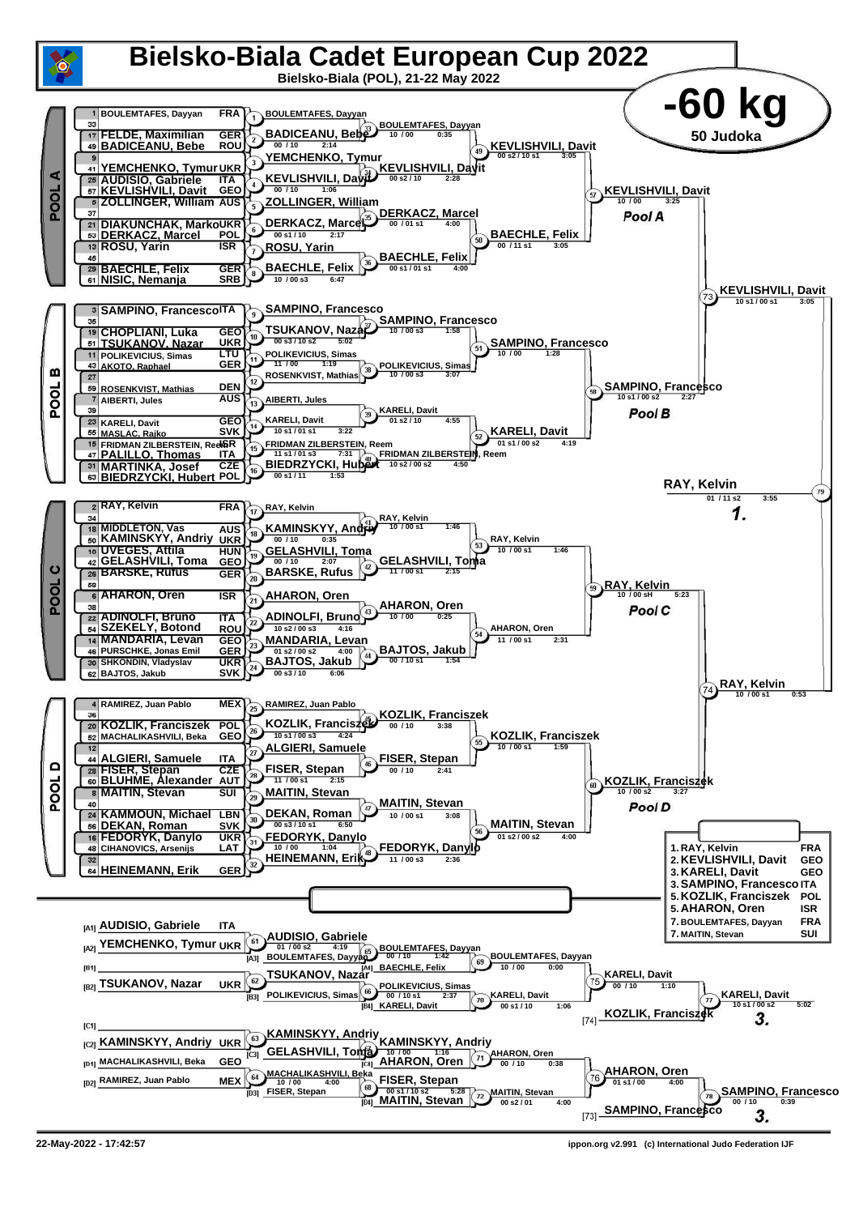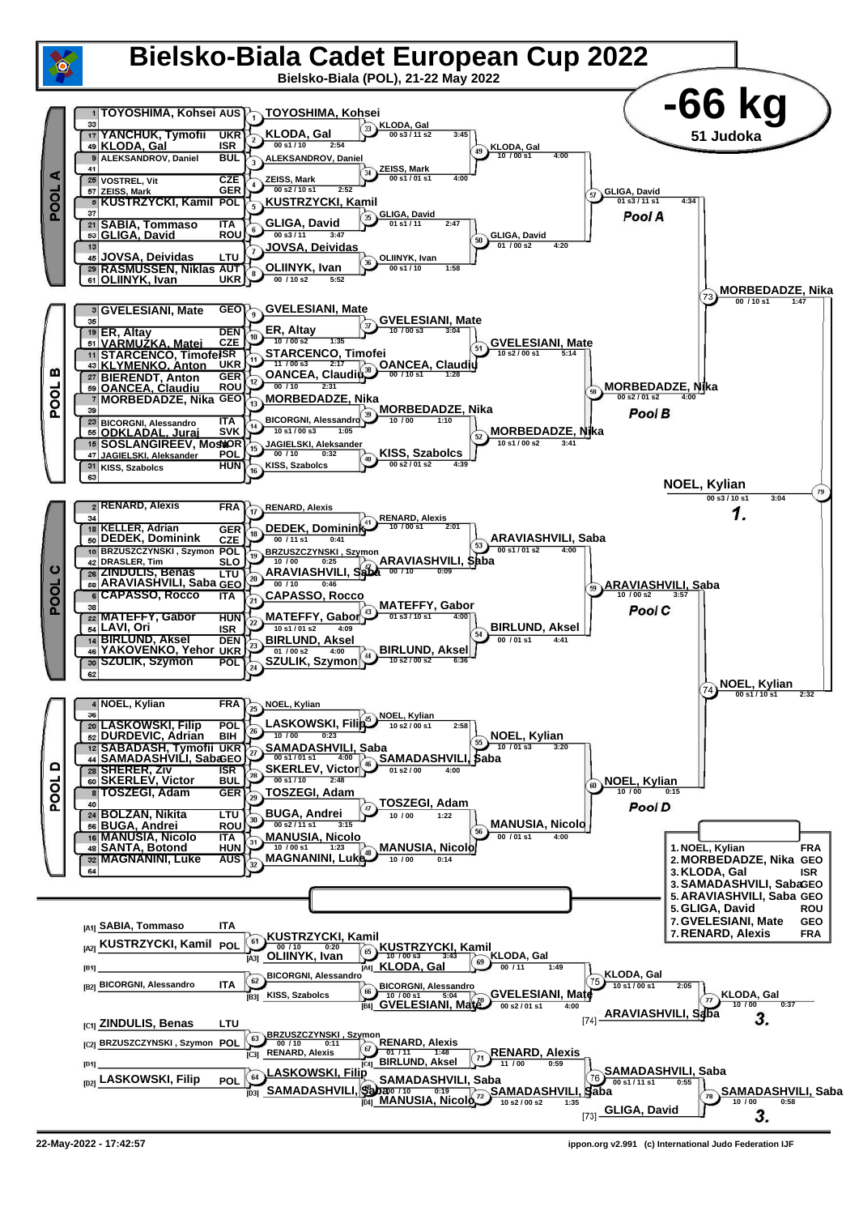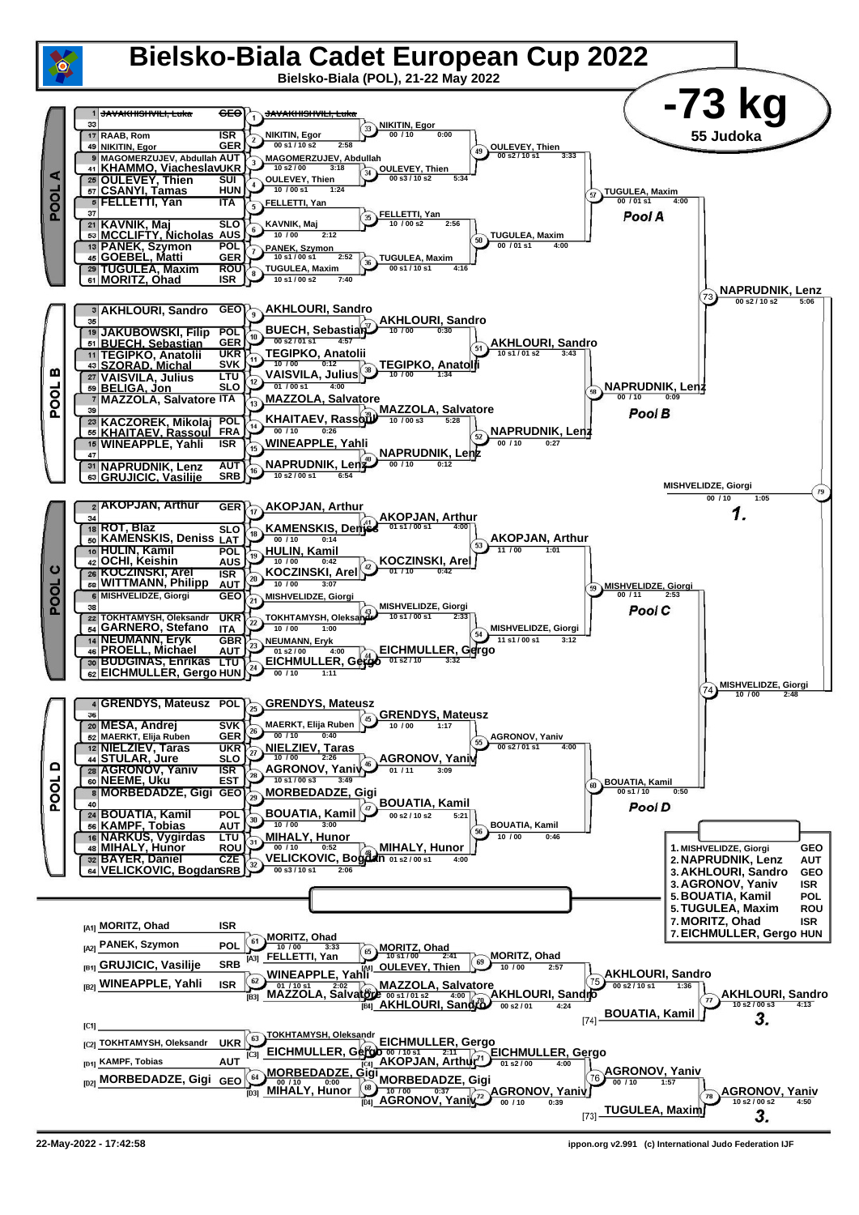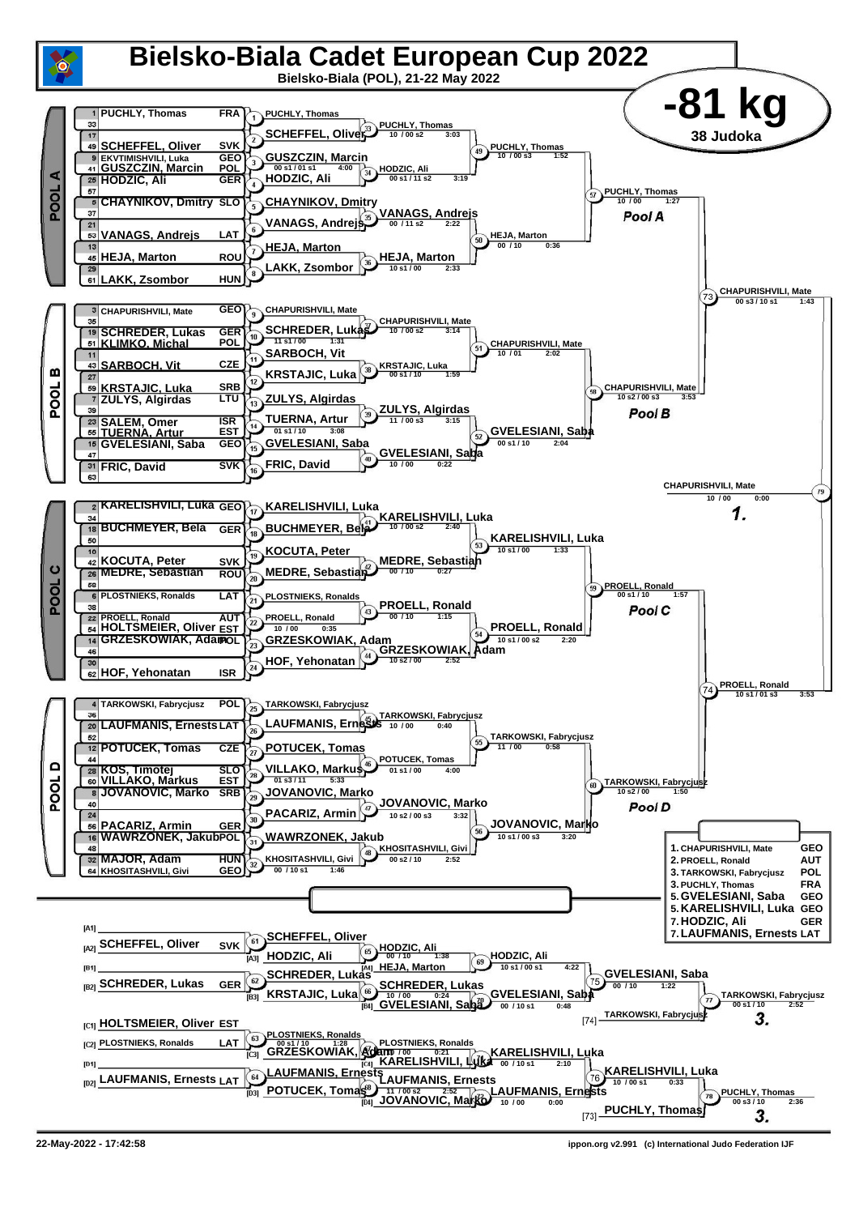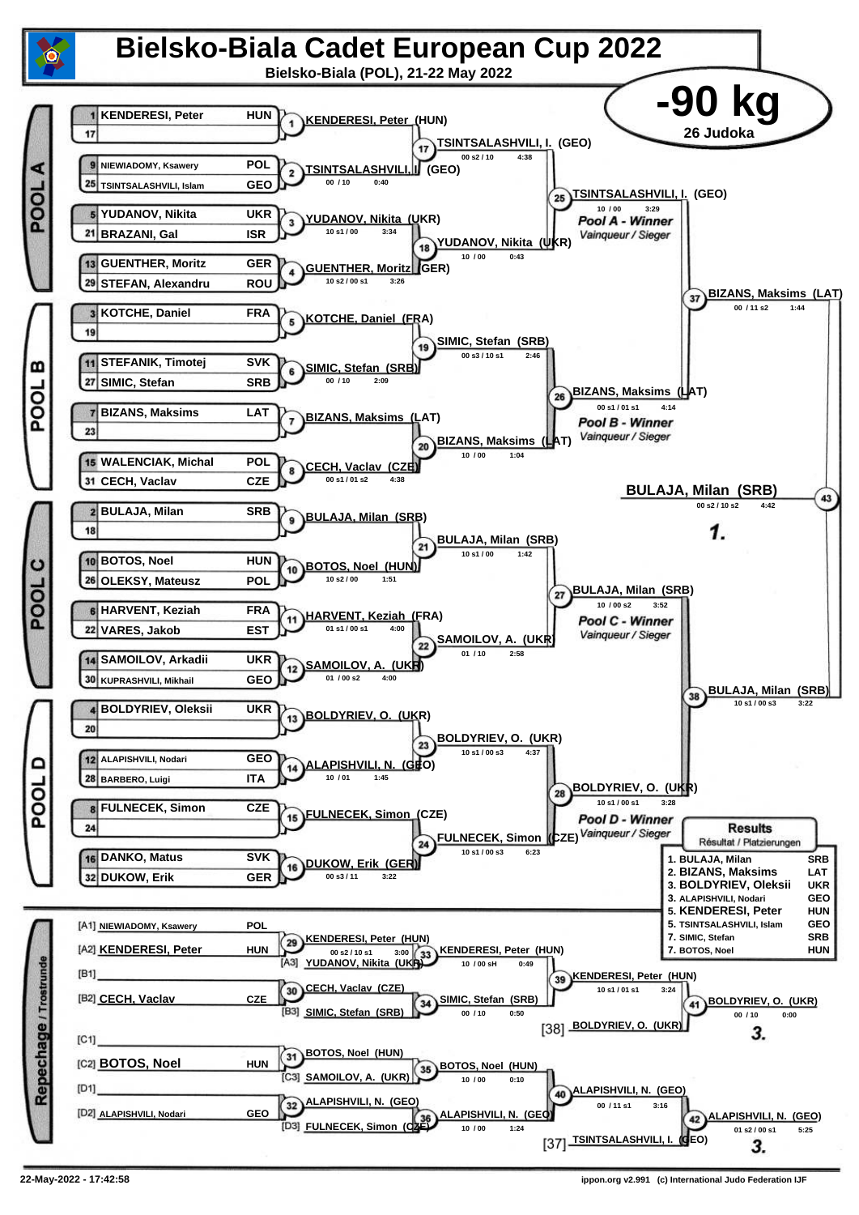![](_page_6_Figure_0.jpeg)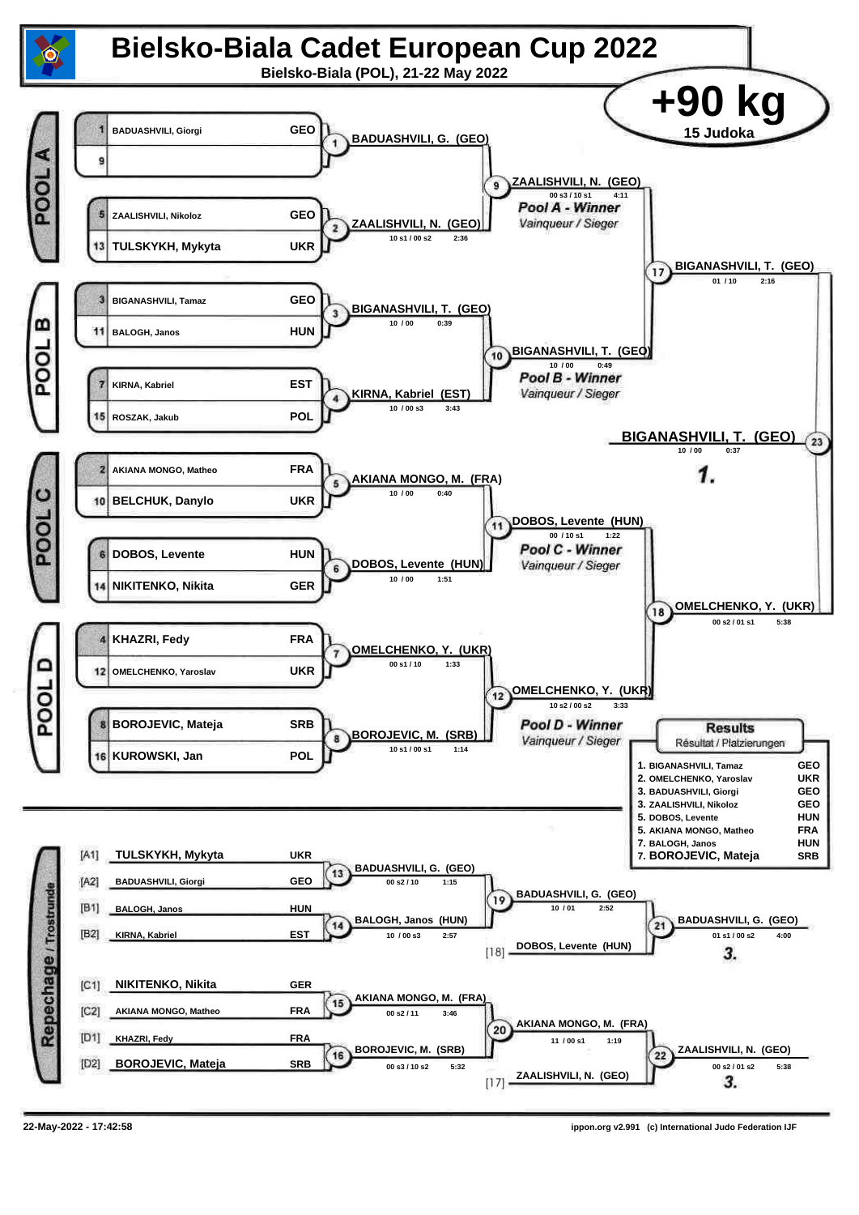![](_page_7_Figure_0.jpeg)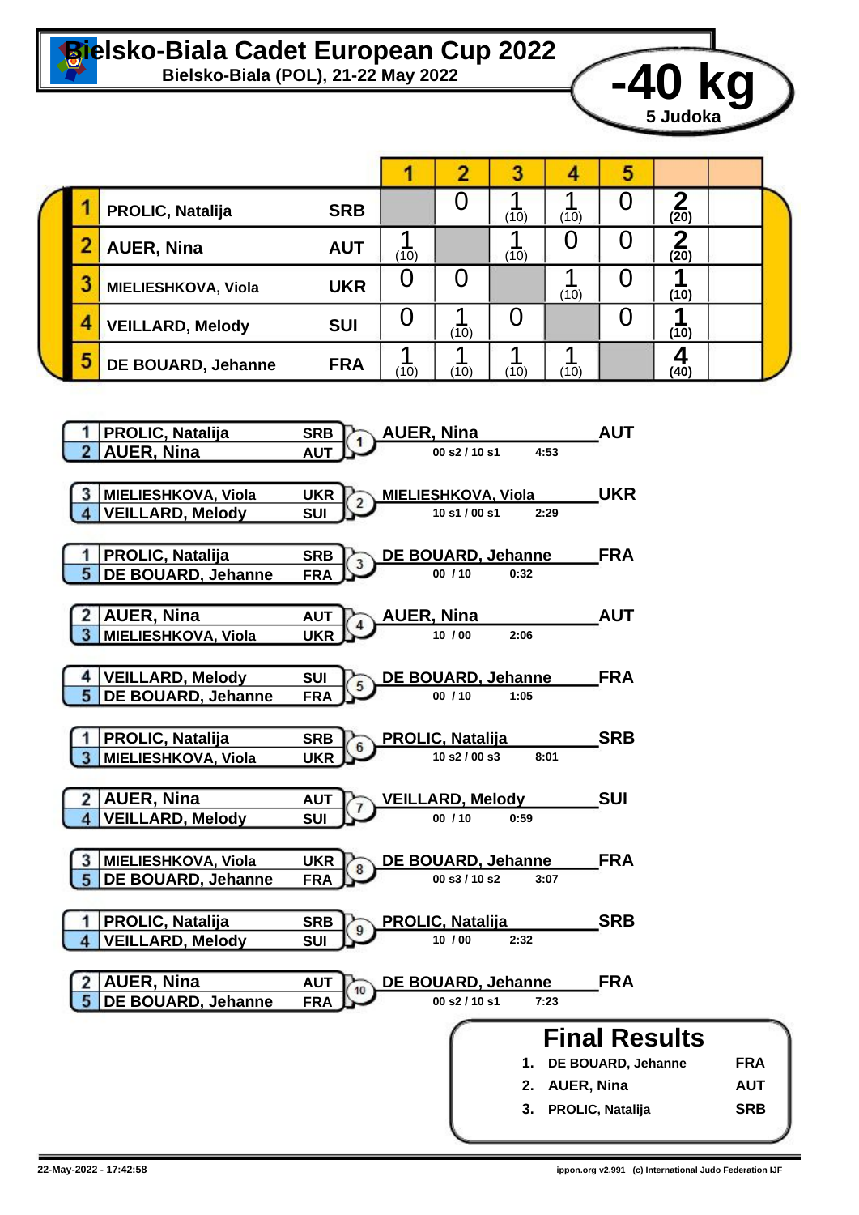![](_page_8_Picture_0.jpeg)

![](_page_8_Picture_2.jpeg)

|  |   |                         |            |      |      |      |      | э |      |  |  |
|--|---|-------------------------|------------|------|------|------|------|---|------|--|--|
|  |   | <b>PROLIC, Natalija</b> | <b>SRB</b> |      |      | (10) | (10) |   | (20) |  |  |
|  |   | <b>AUER, Nina</b>       | <b>AUT</b> | (10) |      | (10) |      |   | (20) |  |  |
|  | ٠ | MIELIESHKOVA, Viola     | <b>UKR</b> | U    |      |      | (10) |   | (10) |  |  |
|  | Δ | <b>VEILLARD, Melody</b> | <b>SUI</b> |      | (10) |      |      |   | (10) |  |  |
|  | 5 | DE BOUARD, Jehanne      | <b>FRA</b> | (10) | (10) | (10) | (10) |   | (40) |  |  |

![](_page_8_Figure_4.jpeg)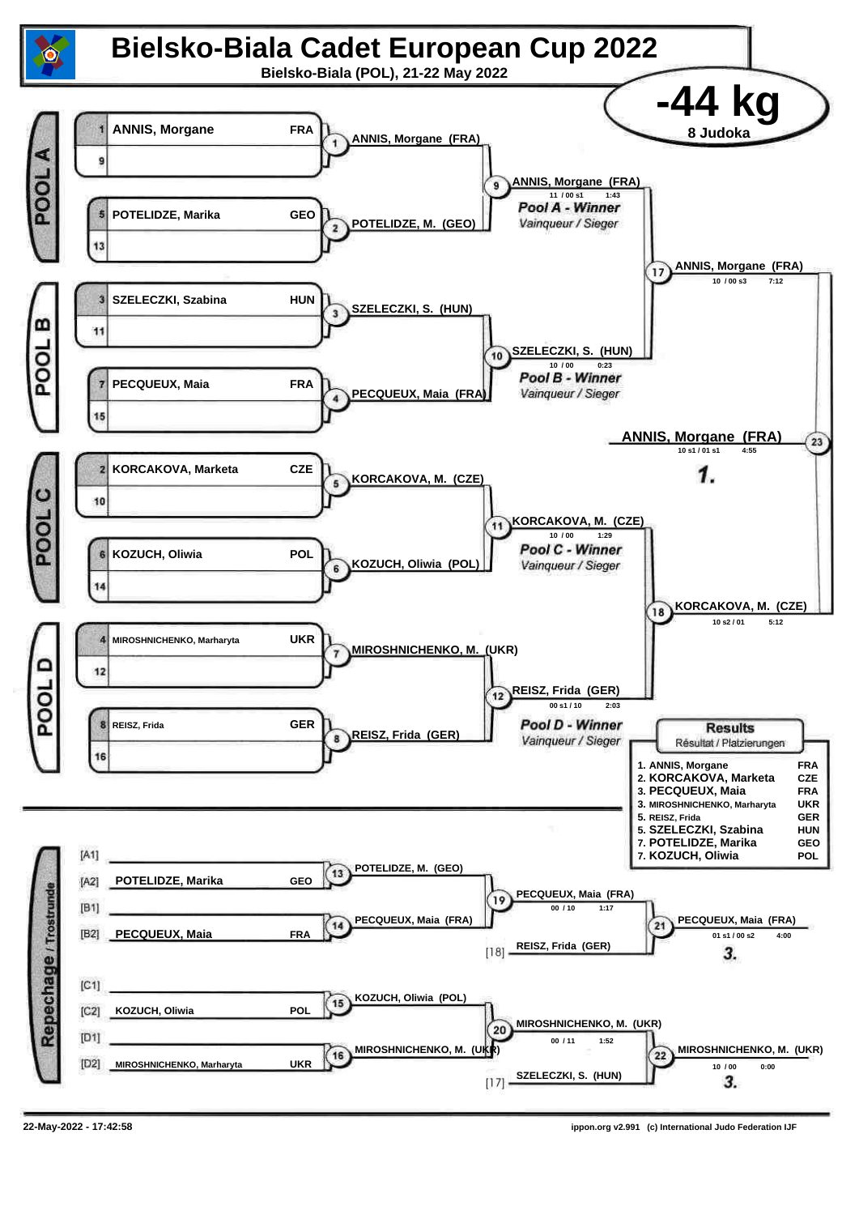![](_page_9_Figure_0.jpeg)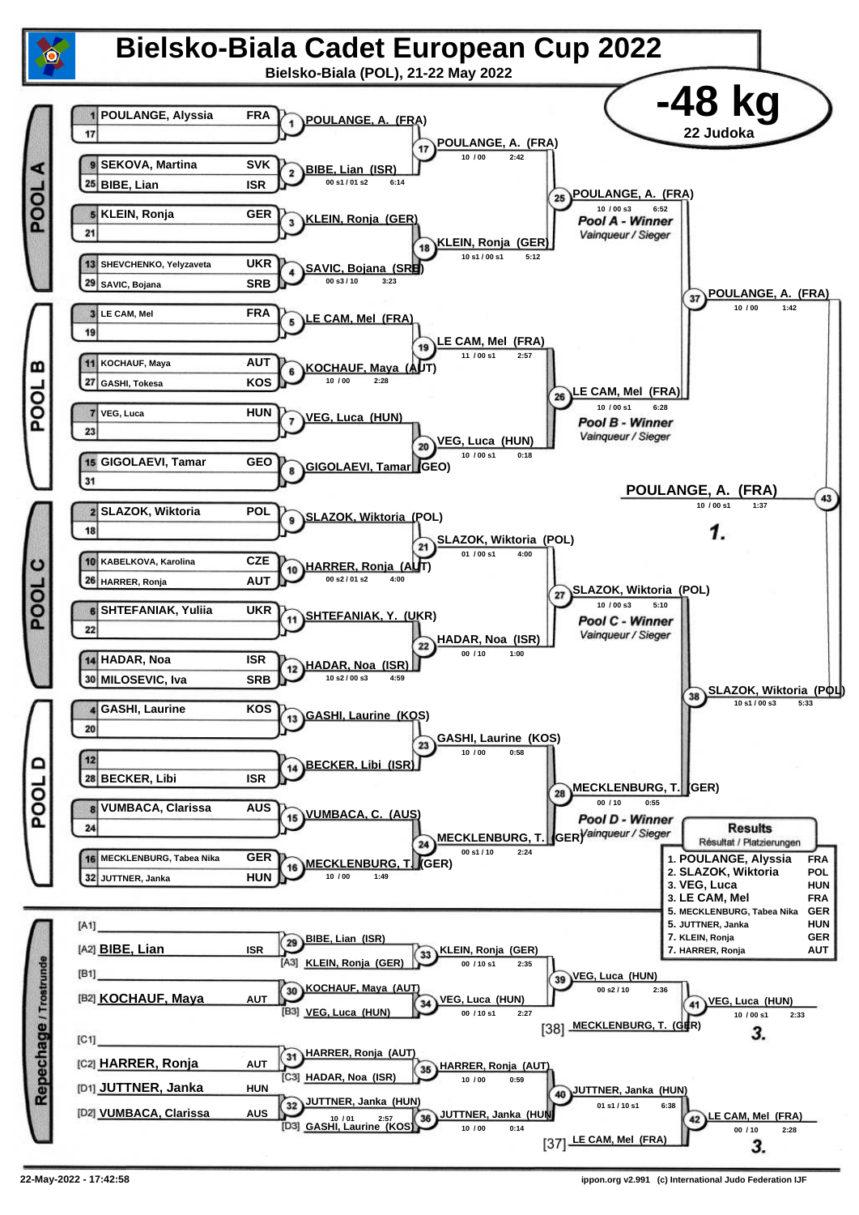![](_page_10_Figure_0.jpeg)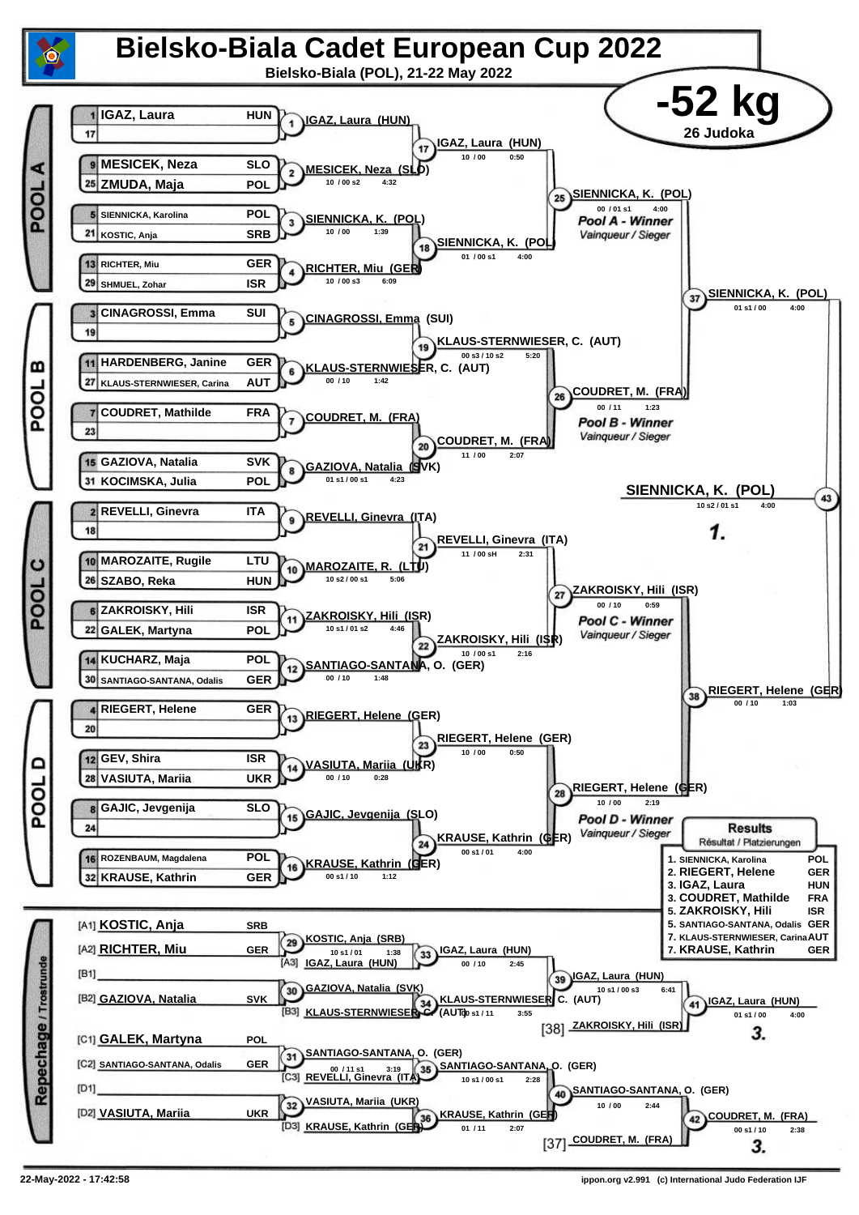![](_page_11_Figure_0.jpeg)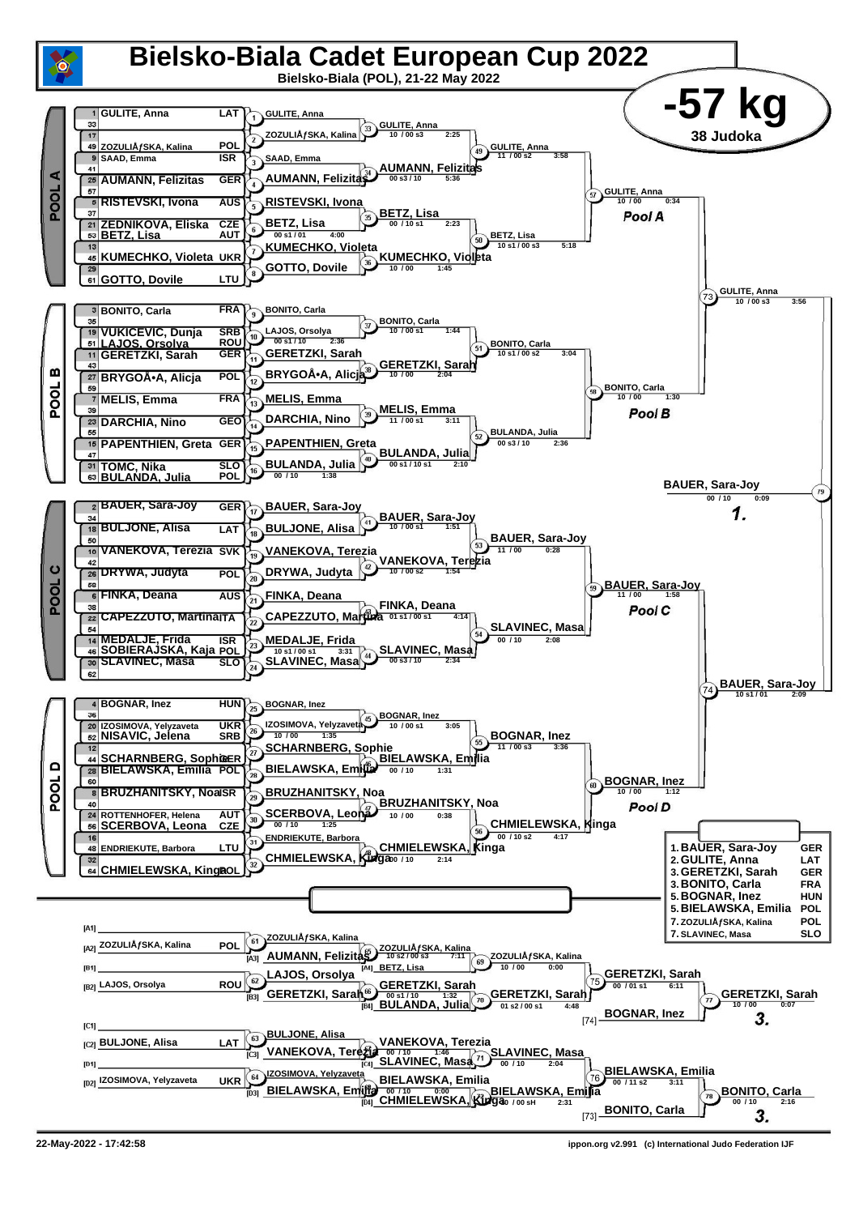![](_page_12_Figure_0.jpeg)

**<sup>22-</sup>May-2022 - 17:42:58 ippon.org v2.991 (c) International Judo Federation IJF**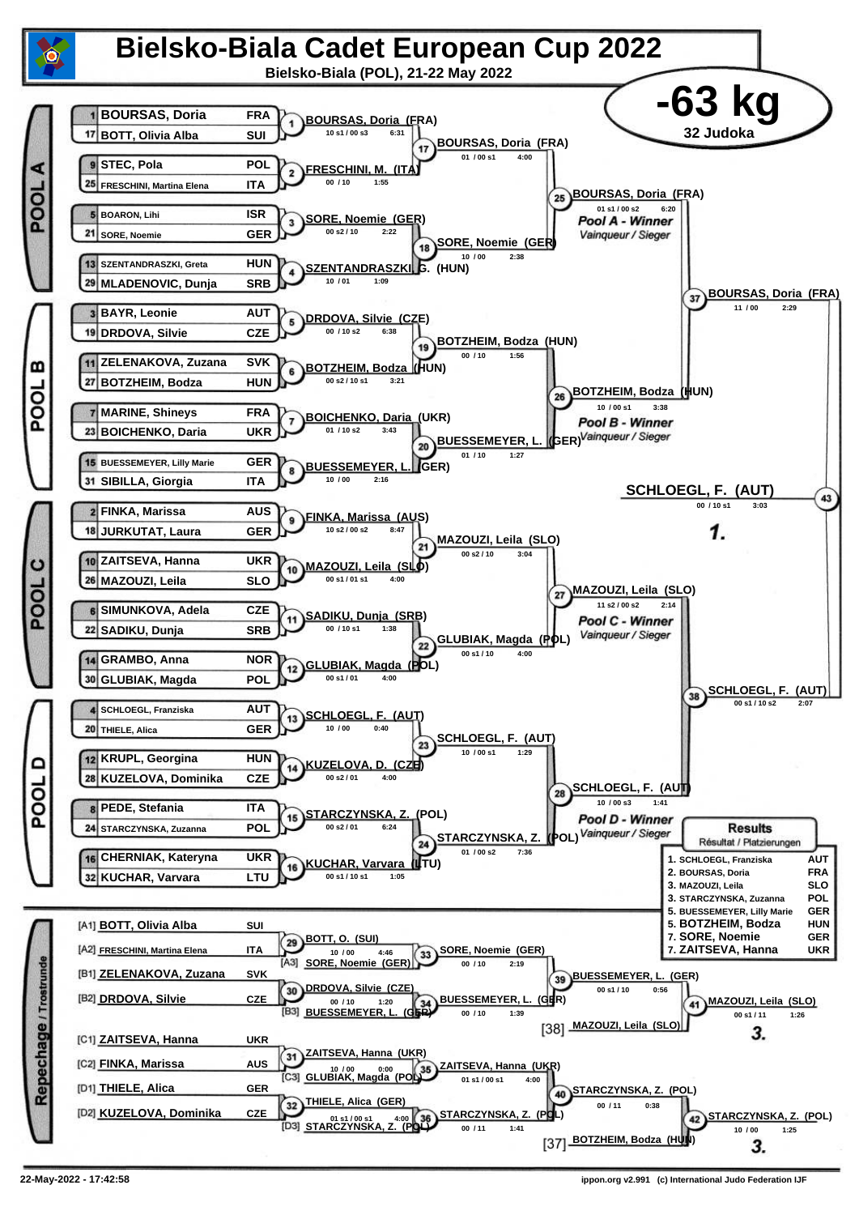![](_page_13_Figure_0.jpeg)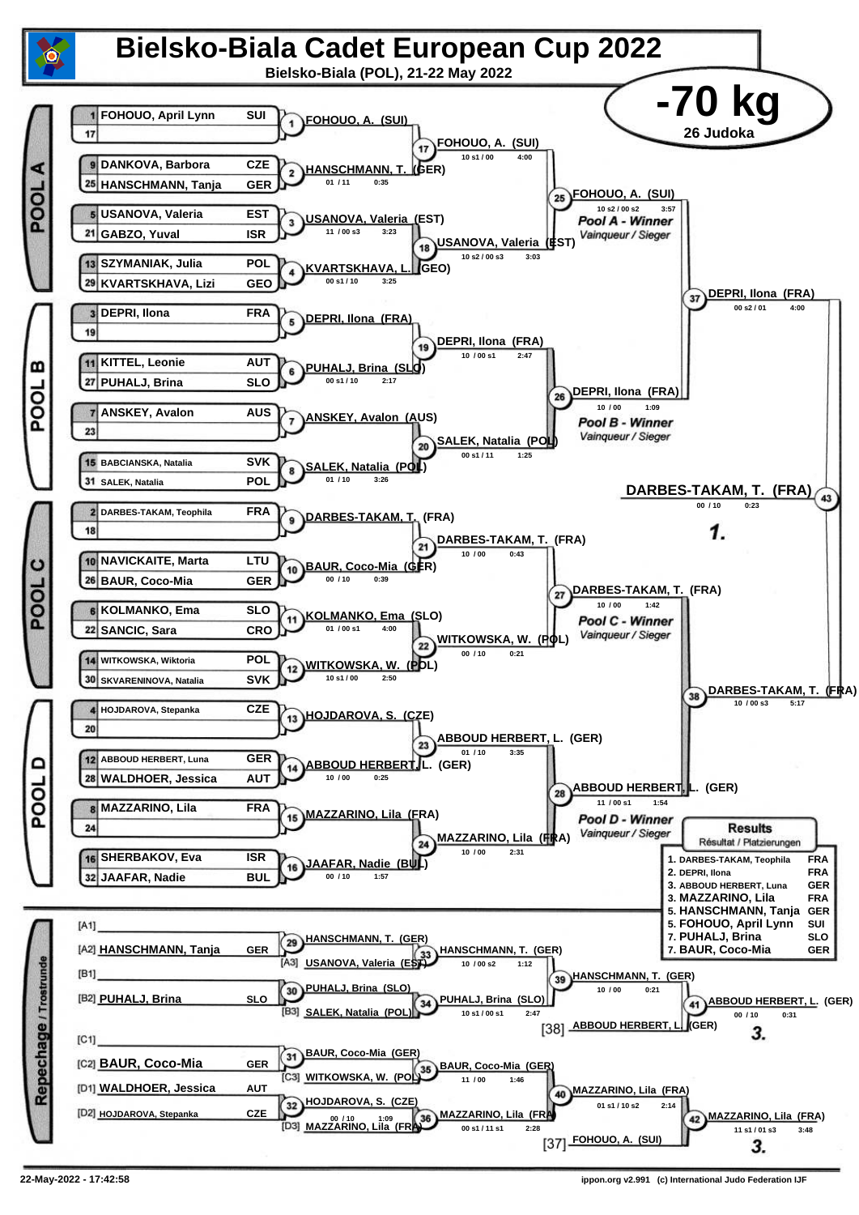![](_page_14_Figure_0.jpeg)